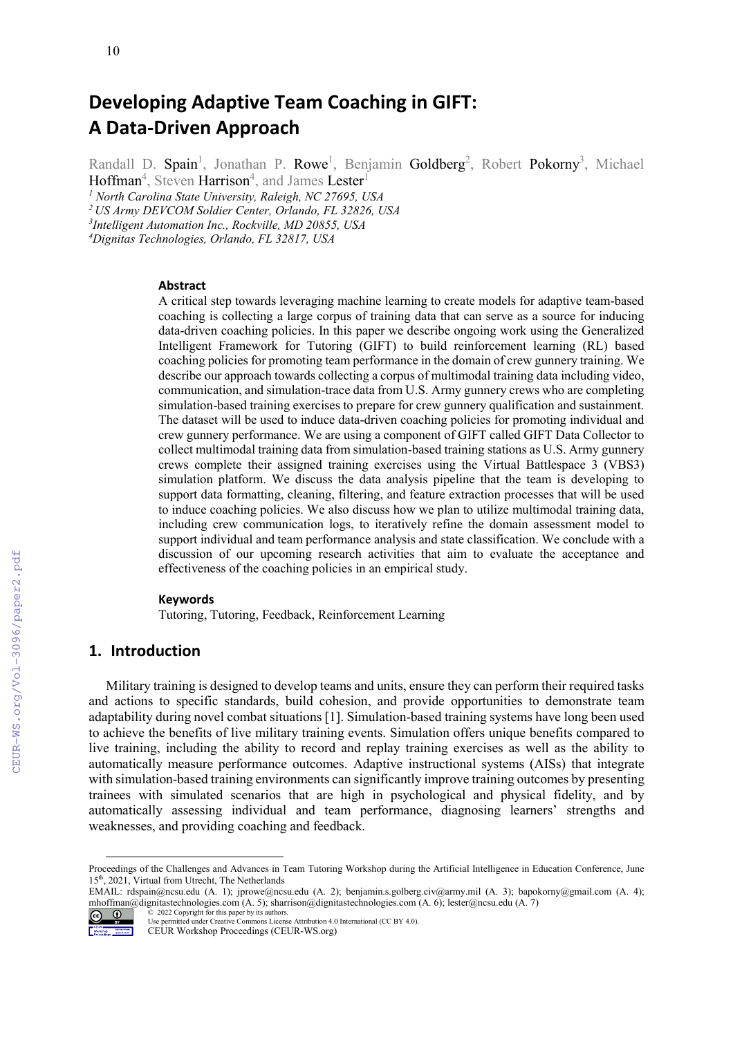# **Developing Adaptive Team Coaching in GIFT: A Data-Driven Approach**

Randall D. Spain<sup>1</sup>, Jonathan P. Rowe<sup>1</sup>, Benjamin Goldberg<sup>2</sup>, Robert Pokorny<sup>3</sup>, Michael

 $H$ offman $^4$ , Steven  $H$ arrison $^4$ , and James  $L$ ester $^{\rm l}$ *<sup>1</sup> North Carolina State University, Raleigh, NC 27695, USA*

*2 US Army DEVCOM Soldier Center, Orlando, FL 32826, USA*

*3 Intelligent Automation Inc., Rockville, MD 20855, USA*

*4 Dignitas Technologies, Orlando, FL 32817, USA*

**Abstract**

A critical step towards leveraging machine learning to create models for adaptive team-based coaching is collecting a large corpus of training data that can serve as a source for inducing data-driven coaching policies. In this paper we describe ongoing work using the Generalized Intelligent Framework for Tutoring (GIFT) to build reinforcement learning (RL) based coaching policies for promoting team performance in the domain of crew gunnery training. We describe our approach towards collecting a corpus of multimodal training data including video, communication, and simulation-trace data from U.S. Army gunnery crews who are completing simulation-based training exercises to prepare for crew gunnery qualification and sustainment. The dataset will be used to induce data-driven coaching policies for promoting individual and crew gunnery performance. We are using a component of GIFT called GIFT Data Collector to collect multimodal training data from simulation-based training stations as U.S. Army gunnery crews complete their assigned training exercises using the Virtual Battlespace 3 (VBS3) simulation platform. We discuss the data analysis pipeline that the team is developing to support data formatting, cleaning, filtering, and feature extraction processes that will be used to induce coaching policies. We also discuss how we plan to utilize multimodal training data, including crew communication logs, to iteratively refine the domain assessment model to support individual and team performance analysis and state classification. We conclude with a discussion of our upcoming research activities that aim to evaluate the acceptance and effectiveness of the coaching policies in an empirical study.

#### **Keywords**

Tutoring, Tutoring, Feedback, Reinforcement Learning [1](#page-0-0)

# **1. Introduction**

Military training is designed to develop teams and units, ensure they can perform their required tasks and actions to specific standards, build cohesion, and provide opportunities to demonstrate team adaptability during novel combat situations [1]. Simulation-based training systems have long been used to achieve the benefits of live military training events. Simulation offers unique benefits compared to live training, including the ability to record and replay training exercises as well as the ability to automatically measure performance outcomes. Adaptive instructional systems (AISs) that integrate with simulation-based training environments can significantly improve training outcomes by presenting trainees with simulated scenarios that are high in psychological and physical fidelity, and by automatically assessing individual and team performance, diagnosing learners' strengths and weaknesses, and providing coaching and feedback.

EMAIL: rdspain@ncsu.edu (A. 1); jprowe@ncsu.edu (A. 2); benjamin.s.golberg.civ@army.mil (A. 3); bapokorny@gmail.com (A. 4); mhoffman@dignitastechnologies.com (A. 5); sharrison@dignitastechnologies.com (A. 6); lester@ncsu.edu (A. 7)



Workshop National Proceedings CEUR Workshop Proceedings (CEUR-WS.org)

<span id="page-0-0"></span>Proceedings of the Challenges and Advances in Team Tutoring Workshop during the Artificial Intelligence in Education Conference, June 15th, 2021, Virtual from Utrecht, The Netherlands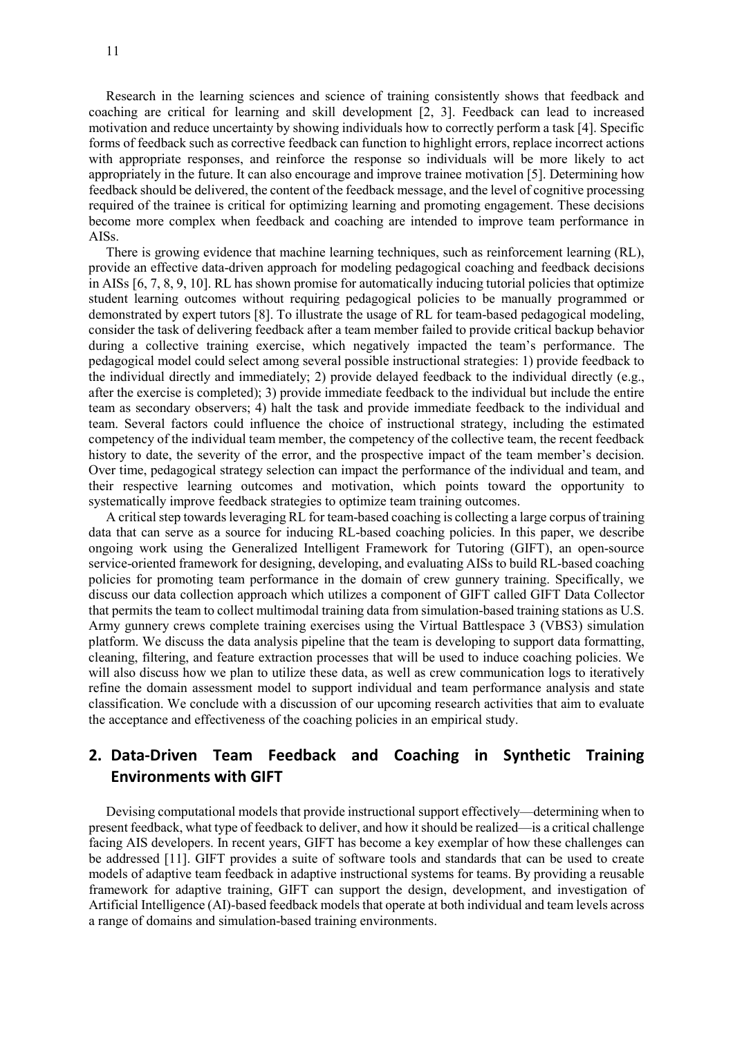Research in the learning sciences and science of training consistently shows that feedback and coaching are critical for learning and skill development [2, 3]. Feedback can lead to increased motivation and reduce uncertainty by showing individuals how to correctly perform a task [4]. Specific forms of feedback such as corrective feedback can function to highlight errors, replace incorrect actions with appropriate responses, and reinforce the response so individuals will be more likely to act appropriately in the future. It can also encourage and improve trainee motivation [5]. Determining how feedback should be delivered, the content of the feedback message, and the level of cognitive processing required of the trainee is critical for optimizing learning and promoting engagement. These decisions become more complex when feedback and coaching are intended to improve team performance in AISs.

There is growing evidence that machine learning techniques, such as reinforcement learning (RL), provide an effective data-driven approach for modeling pedagogical coaching and feedback decisions in AISs [6, 7, 8, 9, 10]. RL has shown promise for automatically inducing tutorial policies that optimize student learning outcomes without requiring pedagogical policies to be manually programmed or demonstrated by expert tutors [8]. To illustrate the usage of RL for team-based pedagogical modeling, consider the task of delivering feedback after a team member failed to provide critical backup behavior during a collective training exercise, which negatively impacted the team's performance. The pedagogical model could select among several possible instructional strategies: 1) provide feedback to the individual directly and immediately; 2) provide delayed feedback to the individual directly (e.g., after the exercise is completed); 3) provide immediate feedback to the individual but include the entire team as secondary observers; 4) halt the task and provide immediate feedback to the individual and team. Several factors could influence the choice of instructional strategy, including the estimated competency of the individual team member, the competency of the collective team, the recent feedback history to date, the severity of the error, and the prospective impact of the team member's decision. Over time, pedagogical strategy selection can impact the performance of the individual and team, and their respective learning outcomes and motivation, which points toward the opportunity to systematically improve feedback strategies to optimize team training outcomes.

A critical step towards leveraging RL for team-based coaching is collecting a large corpus of training data that can serve as a source for inducing RL-based coaching policies. In this paper, we describe ongoing work using the Generalized Intelligent Framework for Tutoring (GIFT), an open-source service-oriented framework for designing, developing, and evaluating AISs to build RL-based coaching policies for promoting team performance in the domain of crew gunnery training. Specifically, we discuss our data collection approach which utilizes a component of GIFT called GIFT Data Collector that permits the team to collect multimodal training data from simulation-based training stations as U.S. Army gunnery crews complete training exercises using the Virtual Battlespace 3 (VBS3) simulation platform. We discuss the data analysis pipeline that the team is developing to support data formatting, cleaning, filtering, and feature extraction processes that will be used to induce coaching policies. We will also discuss how we plan to utilize these data, as well as crew communication logs to iteratively refine the domain assessment model to support individual and team performance analysis and state classification. We conclude with a discussion of our upcoming research activities that aim to evaluate the acceptance and effectiveness of the coaching policies in an empirical study.

# **2. Data-Driven Team Feedback and Coaching in Synthetic Training Environments with GIFT**

Devising computational models that provide instructional support effectively—determining when to present feedback, what type of feedback to deliver, and how it should be realized—is a critical challenge facing AIS developers. In recent years, GIFT has become a key exemplar of how these challenges can be addressed [11]. GIFT provides a suite of software tools and standards that can be used to create models of adaptive team feedback in adaptive instructional systems for teams. By providing a reusable framework for adaptive training, GIFT can support the design, development, and investigation of Artificial Intelligence (AI)-based feedback models that operate at both individual and team levels across a range of domains and simulation-based training environments.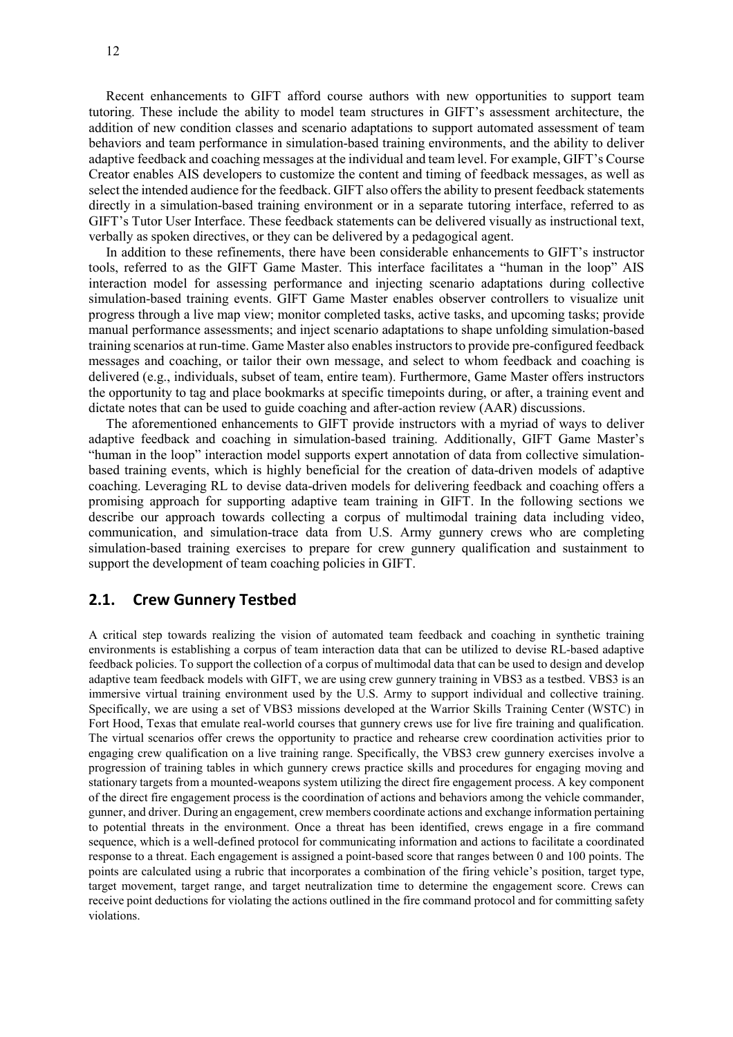Recent enhancements to GIFT afford course authors with new opportunities to support team tutoring. These include the ability to model team structures in GIFT's assessment architecture, the addition of new condition classes and scenario adaptations to support automated assessment of team behaviors and team performance in simulation-based training environments, and the ability to deliver adaptive feedback and coaching messages at the individual and team level. For example, GIFT's Course Creator enables AIS developers to customize the content and timing of feedback messages, as well as select the intended audience for the feedback. GIFT also offers the ability to present feedback statements directly in a simulation-based training environment or in a separate tutoring interface, referred to as GIFT's Tutor User Interface. These feedback statements can be delivered visually as instructional text, verbally as spoken directives, or they can be delivered by a pedagogical agent.

In addition to these refinements, there have been considerable enhancements to GIFT's instructor tools, referred to as the GIFT Game Master. This interface facilitates a "human in the loop" AIS interaction model for assessing performance and injecting scenario adaptations during collective simulation-based training events. GIFT Game Master enables observer controllers to visualize unit progress through a live map view; monitor completed tasks, active tasks, and upcoming tasks; provide manual performance assessments; and inject scenario adaptations to shape unfolding simulation-based training scenarios at run-time. Game Master also enables instructors to provide pre-configured feedback messages and coaching, or tailor their own message, and select to whom feedback and coaching is delivered (e.g., individuals, subset of team, entire team). Furthermore, Game Master offers instructors the opportunity to tag and place bookmarks at specific timepoints during, or after, a training event and dictate notes that can be used to guide coaching and after-action review (AAR) discussions.

The aforementioned enhancements to GIFT provide instructors with a myriad of ways to deliver adaptive feedback and coaching in simulation-based training. Additionally, GIFT Game Master's "human in the loop" interaction model supports expert annotation of data from collective simulationbased training events, which is highly beneficial for the creation of data-driven models of adaptive coaching. Leveraging RL to devise data-driven models for delivering feedback and coaching offers a promising approach for supporting adaptive team training in GIFT. In the following sections we describe our approach towards collecting a corpus of multimodal training data including video, communication, and simulation-trace data from U.S. Army gunnery crews who are completing simulation-based training exercises to prepare for crew gunnery qualification and sustainment to support the development of team coaching policies in GIFT.

# **2.1. Crew Gunnery Testbed**

A critical step towards realizing the vision of automated team feedback and coaching in synthetic training environments is establishing a corpus of team interaction data that can be utilized to devise RL-based adaptive feedback policies. To support the collection of a corpus of multimodal data that can be used to design and develop adaptive team feedback models with GIFT, we are using crew gunnery training in VBS3 as a testbed. VBS3 is an immersive virtual training environment used by the U.S. Army to support individual and collective training. Specifically, we are using a set of VBS3 missions developed at the Warrior Skills Training Center (WSTC) in Fort Hood, Texas that emulate real-world courses that gunnery crews use for live fire training and qualification. The virtual scenarios offer crews the opportunity to practice and rehearse crew coordination activities prior to engaging crew qualification on a live training range. Specifically, the VBS3 crew gunnery exercises involve a progression of training tables in which gunnery crews practice skills and procedures for engaging moving and stationary targets from a mounted-weapons system utilizing the direct fire engagement process. A key component of the direct fire engagement process is the coordination of actions and behaviors among the vehicle commander, gunner, and driver. During an engagement, crew members coordinate actions and exchange information pertaining to potential threats in the environment. Once a threat has been identified, crews engage in a fire command sequence, which is a well-defined protocol for communicating information and actions to facilitate a coordinated response to a threat. Each engagement is assigned a point-based score that ranges between 0 and 100 points. The points are calculated using a rubric that incorporates a combination of the firing vehicle's position, target type, target movement, target range, and target neutralization time to determine the engagement score. Crews can receive point deductions for violating the actions outlined in the fire command protocol and for committing safety violations.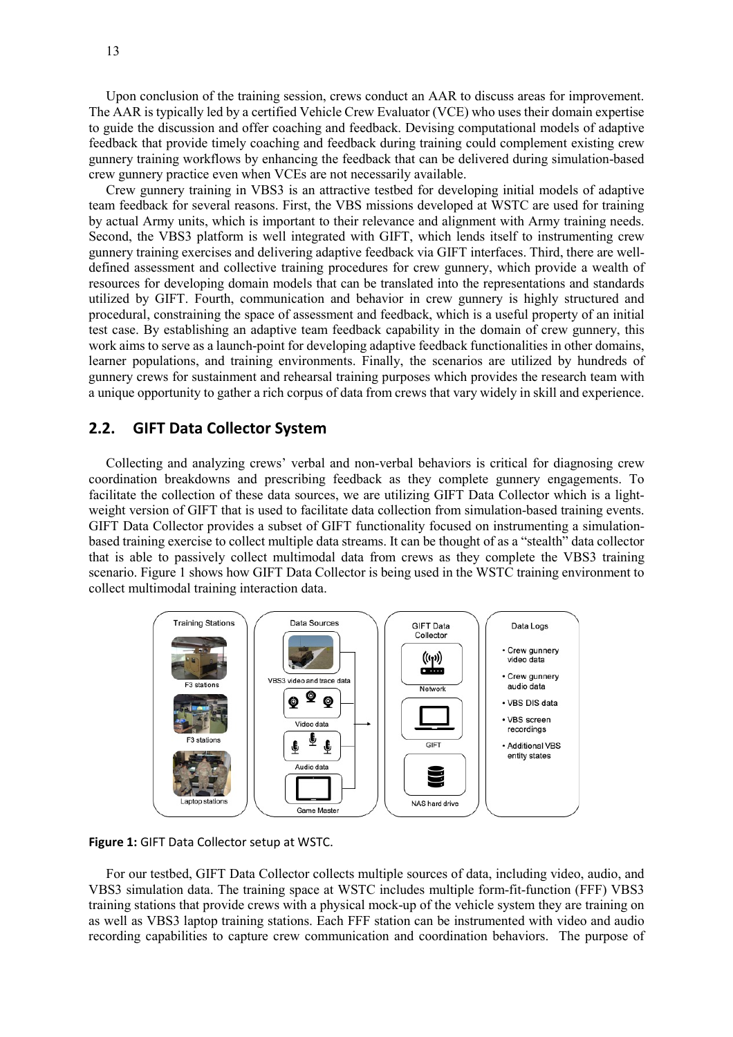Upon conclusion of the training session, crews conduct an AAR to discuss areas for improvement. The AAR is typically led by a certified Vehicle Crew Evaluator (VCE) who uses their domain expertise to guide the discussion and offer coaching and feedback. Devising computational models of adaptive feedback that provide timely coaching and feedback during training could complement existing crew gunnery training workflows by enhancing the feedback that can be delivered during simulation-based crew gunnery practice even when VCEs are not necessarily available.

Crew gunnery training in VBS3 is an attractive testbed for developing initial models of adaptive team feedback for several reasons. First, the VBS missions developed at WSTC are used for training by actual Army units, which is important to their relevance and alignment with Army training needs. Second, the VBS3 platform is well integrated with GIFT, which lends itself to instrumenting crew gunnery training exercises and delivering adaptive feedback via GIFT interfaces. Third, there are welldefined assessment and collective training procedures for crew gunnery, which provide a wealth of resources for developing domain models that can be translated into the representations and standards utilized by GIFT. Fourth, communication and behavior in crew gunnery is highly structured and procedural, constraining the space of assessment and feedback, which is a useful property of an initial test case. By establishing an adaptive team feedback capability in the domain of crew gunnery, this work aims to serve as a launch-point for developing adaptive feedback functionalities in other domains, learner populations, and training environments. Finally, the scenarios are utilized by hundreds of gunnery crews for sustainment and rehearsal training purposes which provides the research team with a unique opportunity to gather a rich corpus of data from crews that vary widely in skill and experience.

# **2.2. GIFT Data Collector System**

Collecting and analyzing crews' verbal and non-verbal behaviors is critical for diagnosing crew coordination breakdowns and prescribing feedback as they complete gunnery engagements. To facilitate the collection of these data sources, we are utilizing GIFT Data Collector which is a lightweight version of GIFT that is used to facilitate data collection from simulation-based training events. GIFT Data Collector provides a subset of GIFT functionality focused on instrumenting a simulationbased training exercise to collect multiple data streams. It can be thought of as a "stealth" data collector that is able to passively collect multimodal data from crews as they complete the VBS3 training scenario. Figure 1 shows how GIFT Data Collector is being used in the WSTC training environment to collect multimodal training interaction data.



**Figure 1:** GIFT Data Collector setup at WSTC.

For our testbed, GIFT Data Collector collects multiple sources of data, including video, audio, and VBS3 simulation data. The training space at WSTC includes multiple form-fit-function (FFF) VBS3 training stations that provide crews with a physical mock-up of the vehicle system they are training on as well as VBS3 laptop training stations. Each FFF station can be instrumented with video and audio recording capabilities to capture crew communication and coordination behaviors. The purpose of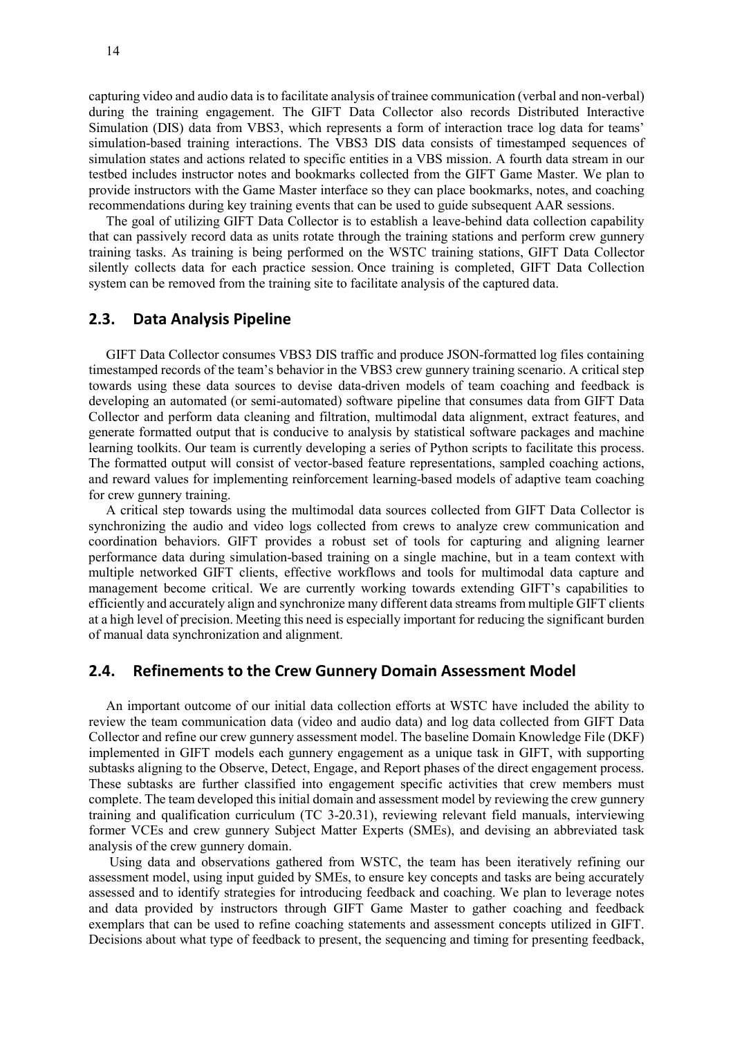capturing video and audio data is to facilitate analysis of trainee communication (verbal and non-verbal) during the training engagement. The GIFT Data Collector also records Distributed Interactive Simulation (DIS) data from VBS3, which represents a form of interaction trace log data for teams' simulation-based training interactions. The VBS3 DIS data consists of timestamped sequences of simulation states and actions related to specific entities in a VBS mission. A fourth data stream in our testbed includes instructor notes and bookmarks collected from the GIFT Game Master. We plan to provide instructors with the Game Master interface so they can place bookmarks, notes, and coaching recommendations during key training events that can be used to guide subsequent AAR sessions.

The goal of utilizing GIFT Data Collector is to establish a leave-behind data collection capability that can passively record data as units rotate through the training stations and perform crew gunnery training tasks. As training is being performed on the WSTC training stations, GIFT Data Collector silently collects data for each practice session. Once training is completed, GIFT Data Collection system can be removed from the training site to facilitate analysis of the captured data.

### **2.3. Data Analysis Pipeline**

GIFT Data Collector consumes VBS3 DIS traffic and produce JSON-formatted log files containing timestamped records of the team's behavior in the VBS3 crew gunnery training scenario. A critical step towards using these data sources to devise data-driven models of team coaching and feedback is developing an automated (or semi-automated) software pipeline that consumes data from GIFT Data Collector and perform data cleaning and filtration, multimodal data alignment, extract features, and generate formatted output that is conducive to analysis by statistical software packages and machine learning toolkits. Our team is currently developing a series of Python scripts to facilitate this process. The formatted output will consist of vector-based feature representations, sampled coaching actions, and reward values for implementing reinforcement learning-based models of adaptive team coaching for crew gunnery training.

A critical step towards using the multimodal data sources collected from GIFT Data Collector is synchronizing the audio and video logs collected from crews to analyze crew communication and coordination behaviors. GIFT provides a robust set of tools for capturing and aligning learner performance data during simulation-based training on a single machine, but in a team context with multiple networked GIFT clients, effective workflows and tools for multimodal data capture and management become critical. We are currently working towards extending GIFT's capabilities to efficiently and accurately align and synchronize many different data streams from multiple GIFT clients at a high level of precision. Meeting this need is especially important for reducing the significant burden of manual data synchronization and alignment.

#### **2.4. Refinements to the Crew Gunnery Domain Assessment Model**

An important outcome of our initial data collection efforts at WSTC have included the ability to review the team communication data (video and audio data) and log data collected from GIFT Data Collector and refine our crew gunnery assessment model. The baseline Domain Knowledge File (DKF) implemented in GIFT models each gunnery engagement as a unique task in GIFT, with supporting subtasks aligning to the Observe, Detect, Engage, and Report phases of the direct engagement process. These subtasks are further classified into engagement specific activities that crew members must complete. The team developed this initial domain and assessment model by reviewing the crew gunnery training and qualification curriculum (TC 3-20.31), reviewing relevant field manuals, interviewing former VCEs and crew gunnery Subject Matter Experts (SMEs), and devising an abbreviated task analysis of the crew gunnery domain.

Using data and observations gathered from WSTC, the team has been iteratively refining our assessment model, using input guided by SMEs, to ensure key concepts and tasks are being accurately assessed and to identify strategies for introducing feedback and coaching. We plan to leverage notes and data provided by instructors through GIFT Game Master to gather coaching and feedback exemplars that can be used to refine coaching statements and assessment concepts utilized in GIFT. Decisions about what type of feedback to present, the sequencing and timing for presenting feedback,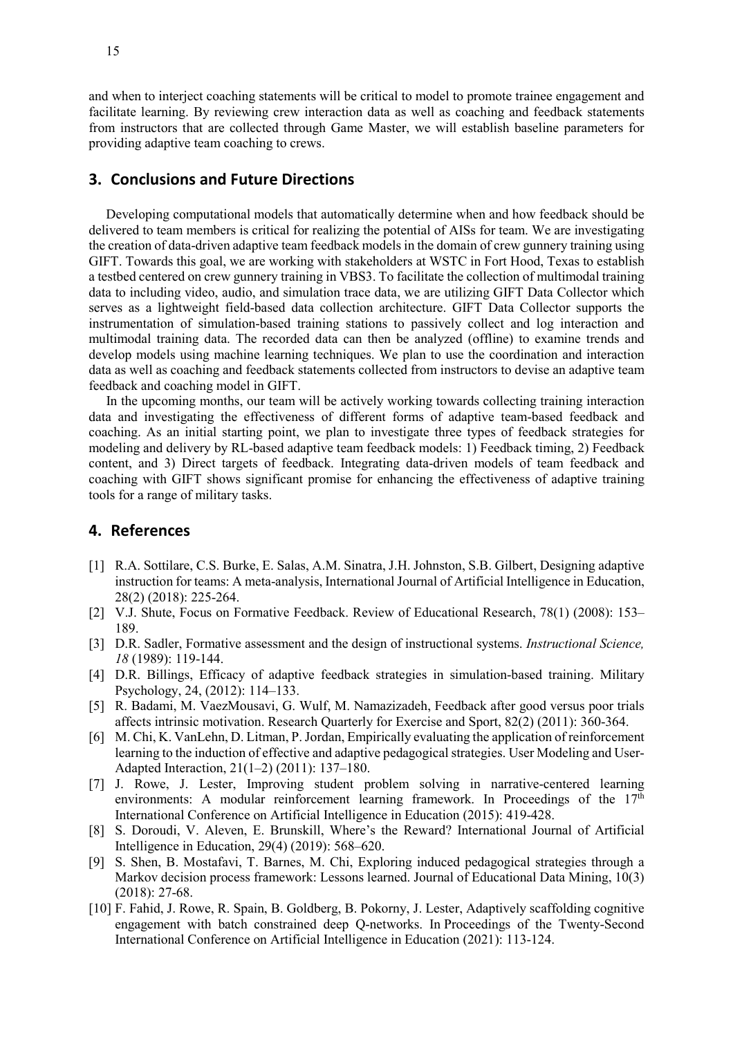and when to interject coaching statements will be critical to model to promote trainee engagement and facilitate learning. By reviewing crew interaction data as well as coaching and feedback statements from instructors that are collected through Game Master, we will establish baseline parameters for providing adaptive team coaching to crews.

#### **3. Conclusions and Future Directions**

Developing computational models that automatically determine when and how feedback should be delivered to team members is critical for realizing the potential of AISs for team. We are investigating the creation of data-driven adaptive team feedback models in the domain of crew gunnery training using GIFT. Towards this goal, we are working with stakeholders at WSTC in Fort Hood, Texas to establish a testbed centered on crew gunnery training in VBS3. To facilitate the collection of multimodal training data to including video, audio, and simulation trace data, we are utilizing GIFT Data Collector which serves as a lightweight field-based data collection architecture. GIFT Data Collector supports the instrumentation of simulation-based training stations to passively collect and log interaction and multimodal training data. The recorded data can then be analyzed (offline) to examine trends and develop models using machine learning techniques. We plan to use the coordination and interaction data as well as coaching and feedback statements collected from instructors to devise an adaptive team feedback and coaching model in GIFT.

In the upcoming months, our team will be actively working towards collecting training interaction data and investigating the effectiveness of different forms of adaptive team-based feedback and coaching. As an initial starting point, we plan to investigate three types of feedback strategies for modeling and delivery by RL-based adaptive team feedback models: 1) Feedback timing, 2) Feedback content, and 3) Direct targets of feedback. Integrating data-driven models of team feedback and coaching with GIFT shows significant promise for enhancing the effectiveness of adaptive training tools for a range of military tasks.

#### **4. References**

- [1] R.A. Sottilare, C.S. Burke, E. Salas, A.M. Sinatra, J.H. Johnston, S.B. Gilbert, Designing adaptive instruction for teams: A meta-analysis, International Journal of Artificial Intelligence in Education, 28(2) (2018): 225-264.
- [2] V.J. Shute, Focus on Formative Feedback. Review of Educational Research, 78(1) (2008): 153– 189.
- [3] D.R. Sadler, Formative assessment and the design of instructional systems. *Instructional Science, 18* (1989): 119-144.
- [4] D.R. Billings, Efficacy of adaptive feedback strategies in simulation-based training. Military Psychology, 24, (2012): 114–133.
- [5] R. Badami, M. VaezMousavi, G. Wulf, M. Namazizadeh, Feedback after good versus poor trials affects intrinsic motivation. Research Quarterly for Exercise and Sport, 82(2) (2011): 360-364.
- [6] M. Chi, K. VanLehn, D. Litman, P. Jordan, Empirically evaluating the application of reinforcement learning to the induction of effective and adaptive pedagogical strategies. User Modeling and User-Adapted Interaction, 21(1–2) (2011): 137–180.
- [7] J. Rowe, J. Lester, Improving student problem solving in narrative-centered learning environments: A modular reinforcement learning framework. In Proceedings of the  $17<sup>th</sup>$ International Conference on Artificial Intelligence in Education (2015): 419-428.
- [8] S. Doroudi, V. Aleven, E. Brunskill, Where's the Reward? International Journal of Artificial Intelligence in Education, 29(4) (2019): 568–620.
- [9] S. Shen, B. Mostafavi, T. Barnes, M. Chi, Exploring induced pedagogical strategies through a Markov decision process framework: Lessons learned. Journal of Educational Data Mining, 10(3) (2018): 27-68.
- [10] F. Fahid, J. Rowe, R. Spain, B. Goldberg, B. Pokorny, J. Lester, Adaptively scaffolding cognitive engagement with batch constrained deep Q-networks. In Proceedings of the Twenty-Second International Conference on Artificial Intelligence in Education (2021): 113-124.